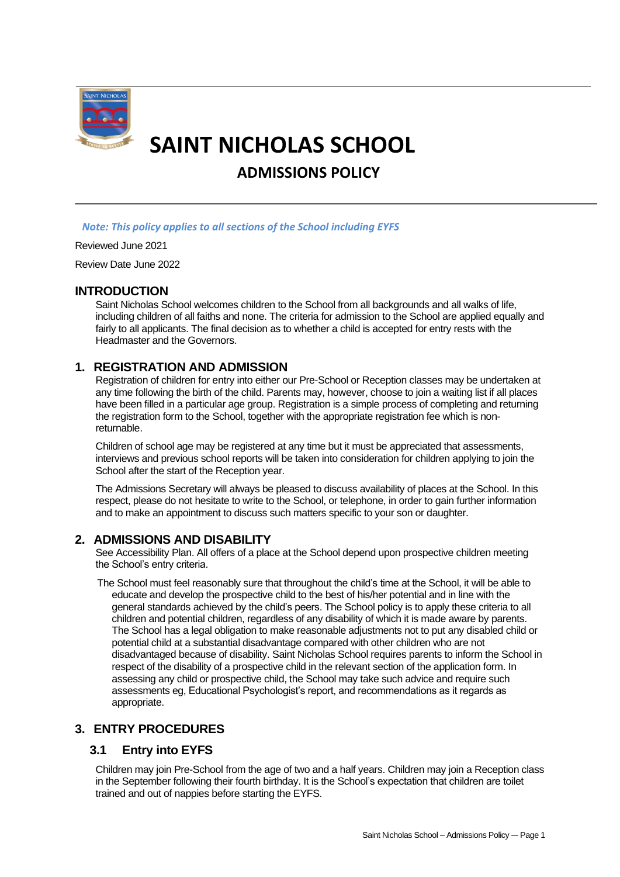

# **SAINT NICHOLAS SCHOOL**

**ADMISSIONS POLICY**

## *Note: This policy applies to all sections of the School including EYFS*

#### Reviewed June 2021

Review Date June 2022

## **INTRODUCTION**

Saint Nicholas School welcomes children to the School from all backgrounds and all walks of life, including children of all faiths and none. The criteria for admission to the School are applied equally and fairly to all applicants. The final decision as to whether a child is accepted for entry rests with the Headmaster and the Governors.

# **1. REGISTRATION AND ADMISSION**

Registration of children for entry into either our Pre-School or Reception classes may be undertaken at any time following the birth of the child. Parents may, however, choose to join a waiting list if all places have been filled in a particular age group. Registration is a simple process of completing and returning the registration form to the School, together with the appropriate registration fee which is nonreturnable.

Children of school age may be registered at any time but it must be appreciated that assessments, interviews and previous school reports will be taken into consideration for children applying to join the School after the start of the Reception year.

The Admissions Secretary will always be pleased to discuss availability of places at the School. In this respect, please do not hesitate to write to the School, or telephone, in order to gain further information and to make an appointment to discuss such matters specific to your son or daughter.

# **2. ADMISSIONS AND DISABILITY**

See Accessibility Plan. All offers of a place at the School depend upon prospective children meeting the School's entry criteria.

The School must feel reasonably sure that throughout the child's time at the School, it will be able to educate and develop the prospective child to the best of his/her potential and in line with the general standards achieved by the child's peers. The School policy is to apply these criteria to all children and potential children, regardless of any disability of which it is made aware by parents. The School has a legal obligation to make reasonable adjustments not to put any disabled child or potential child at a substantial disadvantage compared with other children who are not disadvantaged because of disability. Saint Nicholas School requires parents to inform the School in respect of the disability of a prospective child in the relevant section of the application form. In assessing any child or prospective child, the School may take such advice and require such assessments eg, Educational Psychologist's report, and recommendations as it regards as appropriate.

# **3. ENTRY PROCEDURES**

# **3.1 Entry into EYFS**

Children may join Pre-School from the age of two and a half years. Children may join a Reception class in the September following their fourth birthday. It is the School's expectation that children are toilet trained and out of nappies before starting the EYFS.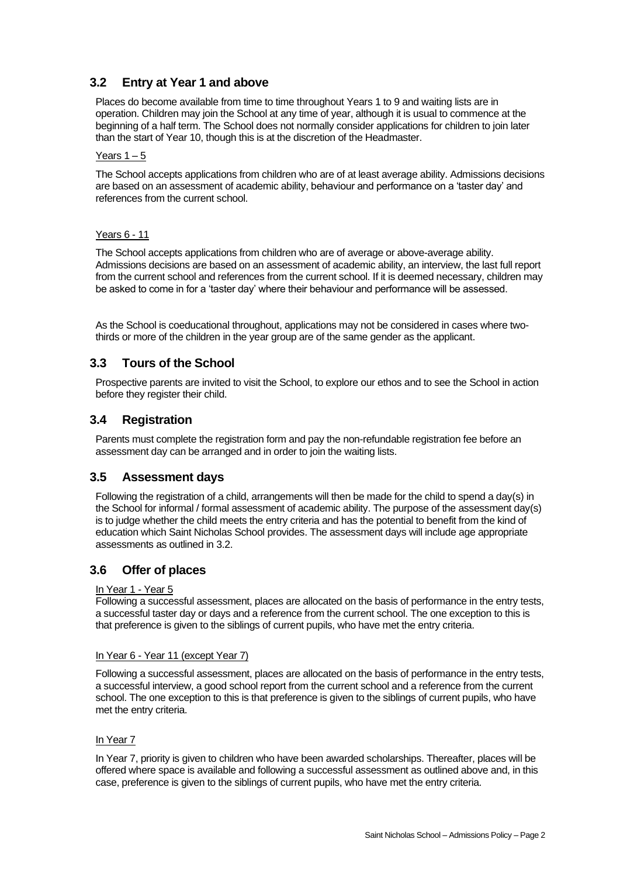# **3.2 Entry at Year 1 and above**

Places do become available from time to time throughout Years 1 to 9 and waiting lists are in operation. Children may join the School at any time of year, although it is usual to commence at the beginning of a half term. The School does not normally consider applications for children to join later than the start of Year 10, though this is at the discretion of the Headmaster.

#### Years  $1 - 5$

The School accepts applications from children who are of at least average ability. Admissions decisions are based on an assessment of academic ability, behaviour and performance on a 'taster day' and references from the current school.

#### Years 6 - 11

The School accepts applications from children who are of average or above-average ability. Admissions decisions are based on an assessment of academic ability, an interview, the last full report from the current school and references from the current school. If it is deemed necessary, children may be asked to come in for a 'taster day' where their behaviour and performance will be assessed.

As the School is coeducational throughout, applications may not be considered in cases where twothirds or more of the children in the year group are of the same gender as the applicant.

## **3.3 Tours of the School**

Prospective parents are invited to visit the School, to explore our ethos and to see the School in action before they register their child.

## **3.4 Registration**

Parents must complete the registration form and pay the non-refundable registration fee before an assessment day can be arranged and in order to join the waiting lists.

## **3.5 Assessment days**

Following the registration of a child, arrangements will then be made for the child to spend a day(s) in the School for informal / formal assessment of academic ability. The purpose of the assessment day(s) is to judge whether the child meets the entry criteria and has the potential to benefit from the kind of education which Saint Nicholas School provides. The assessment days will include age appropriate assessments as outlined in 3.2.

# **3.6 Offer of places**

#### In Year 1 - Year 5

Following a successful assessment, places are allocated on the basis of performance in the entry tests, a successful taster day or days and a reference from the current school. The one exception to this is that preference is given to the siblings of current pupils, who have met the entry criteria.

#### In Year 6 - Year 11 (except Year 7)

Following a successful assessment, places are allocated on the basis of performance in the entry tests, a successful interview, a good school report from the current school and a reference from the current school. The one exception to this is that preference is given to the siblings of current pupils, who have met the entry criteria.

#### In Year 7

In Year 7, priority is given to children who have been awarded scholarships. Thereafter, places will be offered where space is available and following a successful assessment as outlined above and, in this case, preference is given to the siblings of current pupils, who have met the entry criteria.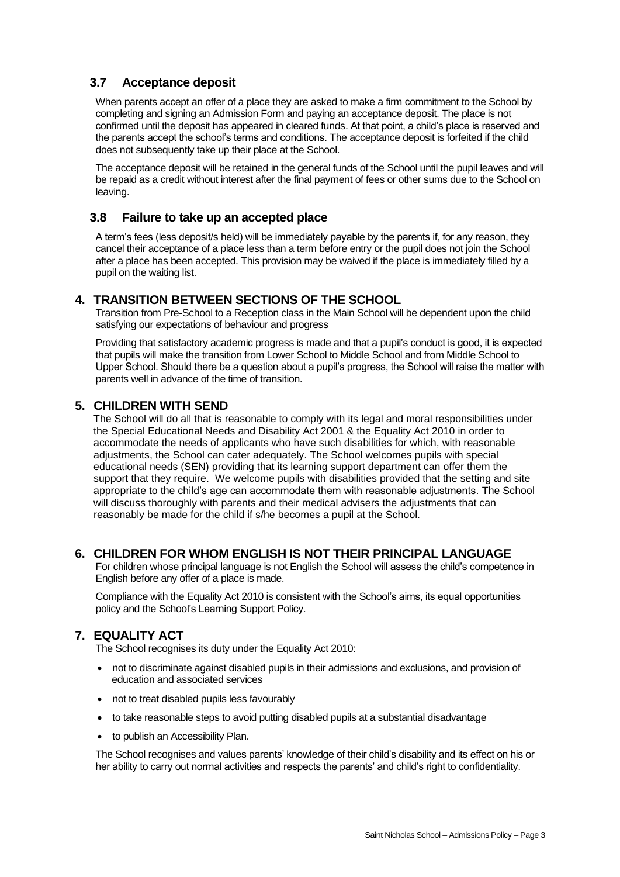# **3.7 Acceptance deposit**

When parents accept an offer of a place they are asked to make a firm commitment to the School by completing and signing an Admission Form and paying an acceptance deposit. The place is not confirmed until the deposit has appeared in cleared funds. At that point, a child's place is reserved and the parents accept the school's terms and conditions. The acceptance deposit is forfeited if the child does not subsequently take up their place at the School.

The acceptance deposit will be retained in the general funds of the School until the pupil leaves and will be repaid as a credit without interest after the final payment of fees or other sums due to the School on leaving.

# **3.8 Failure to take up an accepted place**

A term's fees (less deposit/s held) will be immediately payable by the parents if, for any reason, they cancel their acceptance of a place less than a term before entry or the pupil does not join the School after a place has been accepted. This provision may be waived if the place is immediately filled by a pupil on the waiting list.

# **4. TRANSITION BETWEEN SECTIONS OF THE SCHOOL**

Transition from Pre-School to a Reception class in the Main School will be dependent upon the child satisfying our expectations of behaviour and progress

Providing that satisfactory academic progress is made and that a pupil's conduct is good, it is expected that pupils will make the transition from Lower School to Middle School and from Middle School to Upper School. Should there be a question about a pupil's progress, the School will raise the matter with parents well in advance of the time of transition.

# **5. CHILDREN WITH SEND**

The School will do all that is reasonable to comply with its legal and moral responsibilities under the Special Educational Needs and Disability Act 2001 & the Equality Act 2010 in order to accommodate the needs of applicants who have such disabilities for which, with reasonable adjustments, the School can cater adequately. The School welcomes pupils with special educational needs (SEN) providing that its learning support department can offer them the support that they require. We welcome pupils with disabilities provided that the setting and site appropriate to the child's age can accommodate them with reasonable adjustments. The School will discuss thoroughly with parents and their medical advisers the adjustments that can reasonably be made for the child if s/he becomes a pupil at the School.

# **6. CHILDREN FOR WHOM ENGLISH IS NOT THEIR PRINCIPAL LANGUAGE**

For children whose principal language is not English the School will assess the child's competence in English before any offer of a place is made.

Compliance with the Equality Act 2010 is consistent with the School's aims, its equal opportunities policy and the School's Learning Support Policy.

# **7. EQUALITY ACT**

The School recognises its duty under the Equality Act 2010:

- not to discriminate against disabled pupils in their admissions and exclusions, and provision of education and associated services
- not to treat disabled pupils less favourably
- to take reasonable steps to avoid putting disabled pupils at a substantial disadvantage
- to publish an Accessibility Plan.

The School recognises and values parents' knowledge of their child's disability and its effect on his or her ability to carry out normal activities and respects the parents' and child's right to confidentiality.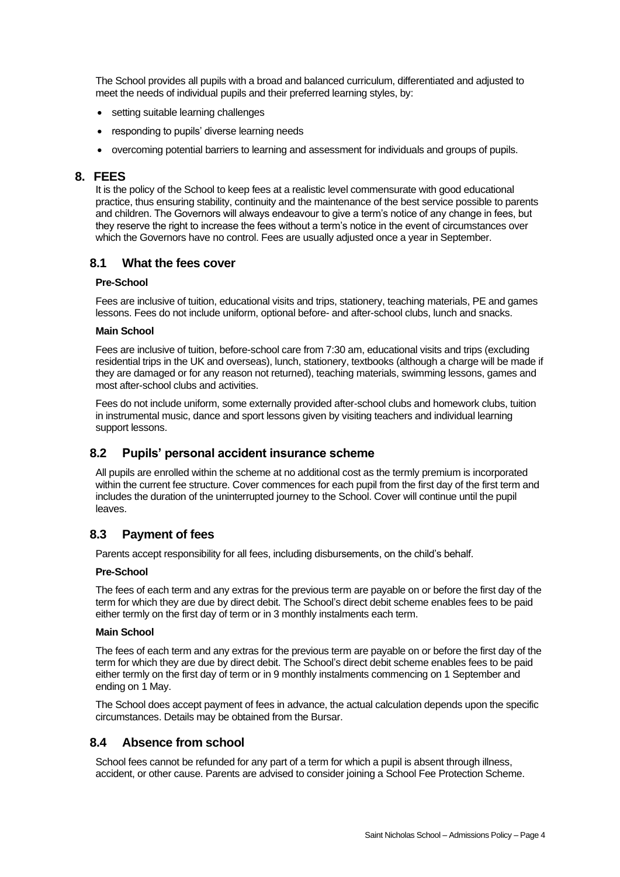The School provides all pupils with a broad and balanced curriculum, differentiated and adjusted to meet the needs of individual pupils and their preferred learning styles, by:

- setting suitable learning challenges
- responding to pupils' diverse learning needs
- overcoming potential barriers to learning and assessment for individuals and groups of pupils.

## **8. FEES**

It is the policy of the School to keep fees at a realistic level commensurate with good educational practice, thus ensuring stability, continuity and the maintenance of the best service possible to parents and children. The Governors will always endeavour to give a term's notice of any change in fees, but they reserve the right to increase the fees without a term's notice in the event of circumstances over which the Governors have no control. Fees are usually adjusted once a year in September.

# **8.1 What the fees cover**

## **Pre-School**

Fees are inclusive of tuition, educational visits and trips, stationery, teaching materials, PE and games lessons. Fees do not include uniform, optional before- and after-school clubs, lunch and snacks.

#### **Main School**

Fees are inclusive of tuition, before-school care from 7:30 am, educational visits and trips (excluding residential trips in the UK and overseas), lunch, stationery, textbooks (although a charge will be made if they are damaged or for any reason not returned), teaching materials, swimming lessons, games and most after-school clubs and activities.

Fees do not include uniform, some externally provided after-school clubs and homework clubs, tuition in instrumental music, dance and sport lessons given by visiting teachers and individual learning support lessons.

# **8.2 Pupils' personal accident insurance scheme**

All pupils are enrolled within the scheme at no additional cost as the termly premium is incorporated within the current fee structure. Cover commences for each pupil from the first day of the first term and includes the duration of the uninterrupted journey to the School. Cover will continue until the pupil leaves.

# **8.3 Payment of fees**

Parents accept responsibility for all fees, including disbursements, on the child's behalf.

## **Pre-School**

The fees of each term and any extras for the previous term are payable on or before the first day of the term for which they are due by direct debit. The School's direct debit scheme enables fees to be paid either termly on the first day of term or in 3 monthly instalments each term.

## **Main School**

The fees of each term and any extras for the previous term are payable on or before the first day of the term for which they are due by direct debit. The School's direct debit scheme enables fees to be paid either termly on the first day of term or in 9 monthly instalments commencing on 1 September and ending on 1 May.

The School does accept payment of fees in advance, the actual calculation depends upon the specific circumstances. Details may be obtained from the Bursar.

# **8.4 Absence from school**

School fees cannot be refunded for any part of a term for which a pupil is absent through illness, accident, or other cause. Parents are advised to consider joining a School Fee Protection Scheme.